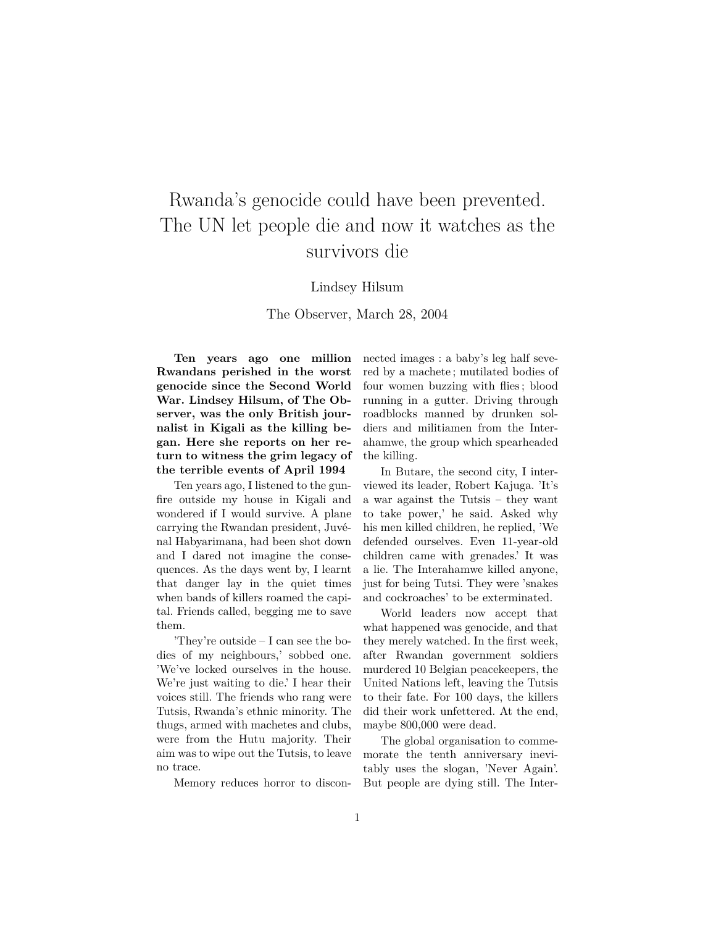## Rwanda's genocide could have been prevented. The UN let people die and now it watches as the survivors die

## Lindsey Hilsum

## The Observer, March 28, 2004

**Ten years ago one million Rwandans perished in the worst genocide since the Second World War. Lindsey Hilsum, of The Observer, was the only British journalist in Kigali as the killing began. Here she reports on her return to witness the grim legacy of the terrible events of April 1994**

Ten years ago, I listened to the gunfire outside my house in Kigali and wondered if I would survive. A plane carrying the Rwandan president, Juvénal Habyarimana, had been shot down and I dared not imagine the consequences. As the days went by, I learnt that danger lay in the quiet times when bands of killers roamed the capital. Friends called, begging me to save them.

'They're outside – I can see the bodies of my neighbours,' sobbed one. 'We've locked ourselves in the house. We're just waiting to die.' I hear their voices still. The friends who rang were Tutsis, Rwanda's ethnic minority. The thugs, armed with machetes and clubs, were from the Hutu majority. Their aim was to wipe out the Tutsis, to leave no trace.

Memory reduces horror to discon-

nected images : a baby's leg half severed by a machete ; mutilated bodies of four women buzzing with flies ; blood running in a gutter. Driving through roadblocks manned by drunken soldiers and militiamen from the Interahamwe, the group which spearheaded the killing.

In Butare, the second city, I interviewed its leader, Robert Kajuga. 'It's a war against the Tutsis – they want to take power,' he said. Asked why his men killed children, he replied, 'We defended ourselves. Even 11-year-old children came with grenades.' It was a lie. The Interahamwe killed anyone, just for being Tutsi. They were 'snakes and cockroaches' to be exterminated.

World leaders now accept that what happened was genocide, and that they merely watched. In the first week, after Rwandan government soldiers murdered 10 Belgian peacekeepers, the United Nations left, leaving the Tutsis to their fate. For 100 days, the killers did their work unfettered. At the end, maybe 800,000 were dead.

The global organisation to commemorate the tenth anniversary inevitably uses the slogan, 'Never Again'. But people are dying still. The Inter-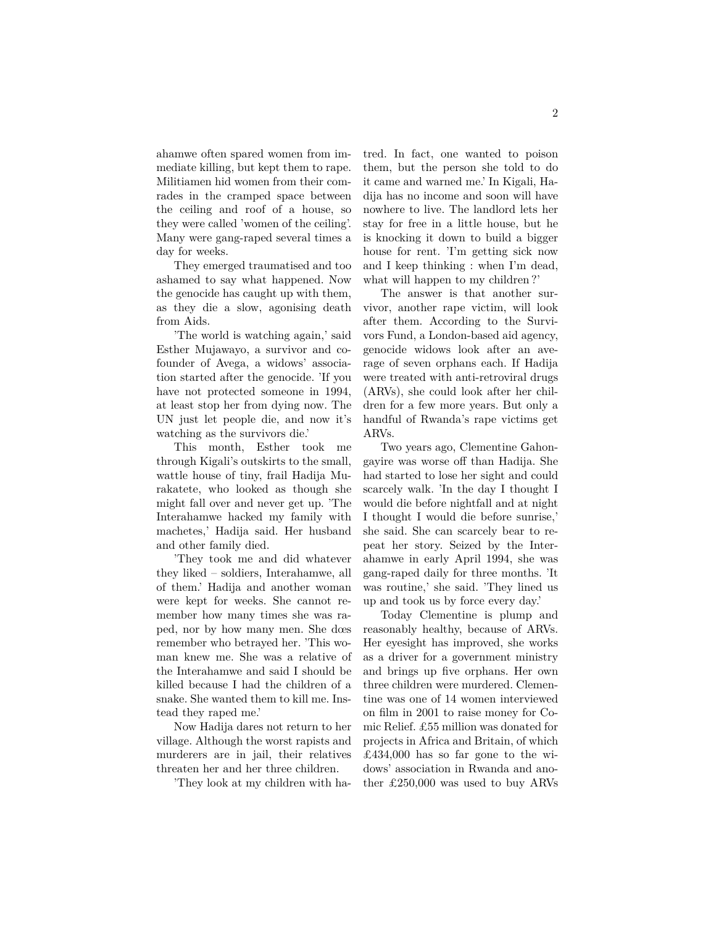ahamwe often spared women from immediate killing, but kept them to rape. Militiamen hid women from their comrades in the cramped space between the ceiling and roof of a house, so they were called 'women of the ceiling'. Many were gang-raped several times a day for weeks.

They emerged traumatised and too ashamed to say what happened. Now the genocide has caught up with them, as they die a slow, agonising death from Aids.

'The world is watching again,' said Esther Mujawayo, a survivor and cofounder of Avega, a widows' association started after the genocide. 'If you have not protected someone in 1994, at least stop her from dying now. The UN just let people die, and now it's watching as the survivors die.'

This month, Esther took me through Kigali's outskirts to the small, wattle house of tiny, frail Hadija Murakatete, who looked as though she might fall over and never get up. 'The Interahamwe hacked my family with machetes,' Hadija said. Her husband and other family died.

'They took me and did whatever they liked – soldiers, Interahamwe, all of them.' Hadija and another woman were kept for weeks. She cannot remember how many times she was raped, nor by how many men. She dœs remember who betrayed her. 'This woman knew me. She was a relative of the Interahamwe and said I should be killed because I had the children of a snake. She wanted them to kill me. Instead they raped me.'

Now Hadija dares not return to her village. Although the worst rapists and murderers are in jail, their relatives threaten her and her three children.

'They look at my children with ha-

tred. In fact, one wanted to poison them, but the person she told to do it came and warned me.' In Kigali, Hadija has no income and soon will have nowhere to live. The landlord lets her stay for free in a little house, but he is knocking it down to build a bigger house for rent. 'I'm getting sick now and I keep thinking : when I'm dead, what will happen to my children?

The answer is that another survivor, another rape victim, will look after them. According to the Survivors Fund, a London-based aid agency, genocide widows look after an average of seven orphans each. If Hadija were treated with anti-retroviral drugs (ARVs), she could look after her children for a few more years. But only a handful of Rwanda's rape victims get ARVs.

Two years ago, Clementine Gahongayire was worse off than Hadija. She had started to lose her sight and could scarcely walk. 'In the day I thought I would die before nightfall and at night I thought I would die before sunrise,' she said. She can scarcely bear to repeat her story. Seized by the Interahamwe in early April 1994, she was gang-raped daily for three months. 'It was routine,' she said. 'They lined us up and took us by force every day.'

Today Clementine is plump and reasonably healthy, because of ARVs. Her eyesight has improved, she works as a driver for a government ministry and brings up five orphans. Her own three children were murdered. Clementine was one of 14 women interviewed on film in 2001 to raise money for Comic Relief. £55 million was donated for projects in Africa and Britain, of which £434,000 has so far gone to the widows' association in Rwanda and another £250,000 was used to buy ARVs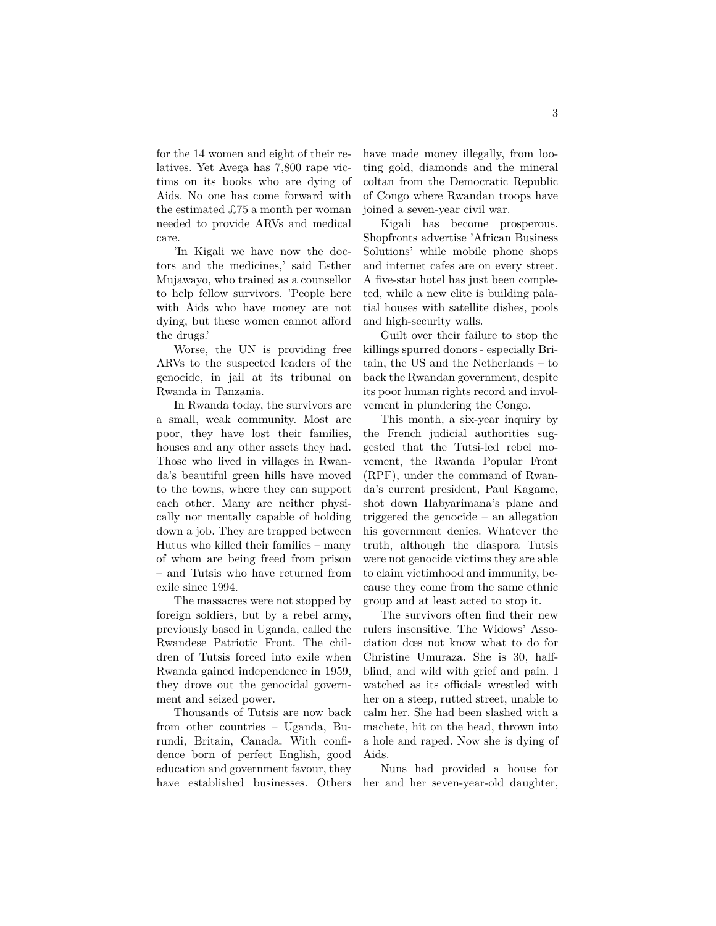for the 14 women and eight of their relatives. Yet Avega has 7,800 rape victims on its books who are dying of Aids. No one has come forward with the estimated £75 a month per woman needed to provide ARVs and medical care.

'In Kigali we have now the doctors and the medicines,' said Esther Mujawayo, who trained as a counsellor to help fellow survivors. 'People here with Aids who have money are not dying, but these women cannot afford the drugs.'

Worse, the UN is providing free ARVs to the suspected leaders of the genocide, in jail at its tribunal on Rwanda in Tanzania.

In Rwanda today, the survivors are a small, weak community. Most are poor, they have lost their families, houses and any other assets they had. Those who lived in villages in Rwanda's beautiful green hills have moved to the towns, where they can support each other. Many are neither physically nor mentally capable of holding down a job. They are trapped between Hutus who killed their families – many of whom are being freed from prison – and Tutsis who have returned from exile since 1994.

The massacres were not stopped by foreign soldiers, but by a rebel army, previously based in Uganda, called the Rwandese Patriotic Front. The children of Tutsis forced into exile when Rwanda gained independence in 1959, they drove out the genocidal government and seized power.

Thousands of Tutsis are now back from other countries – Uganda, Burundi, Britain, Canada. With confidence born of perfect English, good education and government favour, they have established businesses. Others have made money illegally, from looting gold, diamonds and the mineral coltan from the Democratic Republic of Congo where Rwandan troops have joined a seven-year civil war.

Kigali has become prosperous. Shopfronts advertise 'African Business Solutions' while mobile phone shops and internet cafes are on every street. A five-star hotel has just been completed, while a new elite is building palatial houses with satellite dishes, pools and high-security walls.

Guilt over their failure to stop the killings spurred donors - especially Britain, the US and the Netherlands – to back the Rwandan government, despite its poor human rights record and involvement in plundering the Congo.

This month, a six-year inquiry by the French judicial authorities suggested that the Tutsi-led rebel movement, the Rwanda Popular Front (RPF), under the command of Rwanda's current president, Paul Kagame, shot down Habyarimana's plane and triggered the genocide – an allegation his government denies. Whatever the truth, although the diaspora Tutsis were not genocide victims they are able to claim victimhood and immunity, because they come from the same ethnic group and at least acted to stop it.

The survivors often find their new rulers insensitive. The Widows' Association dœs not know what to do for Christine Umuraza. She is 30, halfblind, and wild with grief and pain. I watched as its officials wrestled with her on a steep, rutted street, unable to calm her. She had been slashed with a machete, hit on the head, thrown into a hole and raped. Now she is dying of Aids.

Nuns had provided a house for her and her seven-year-old daughter,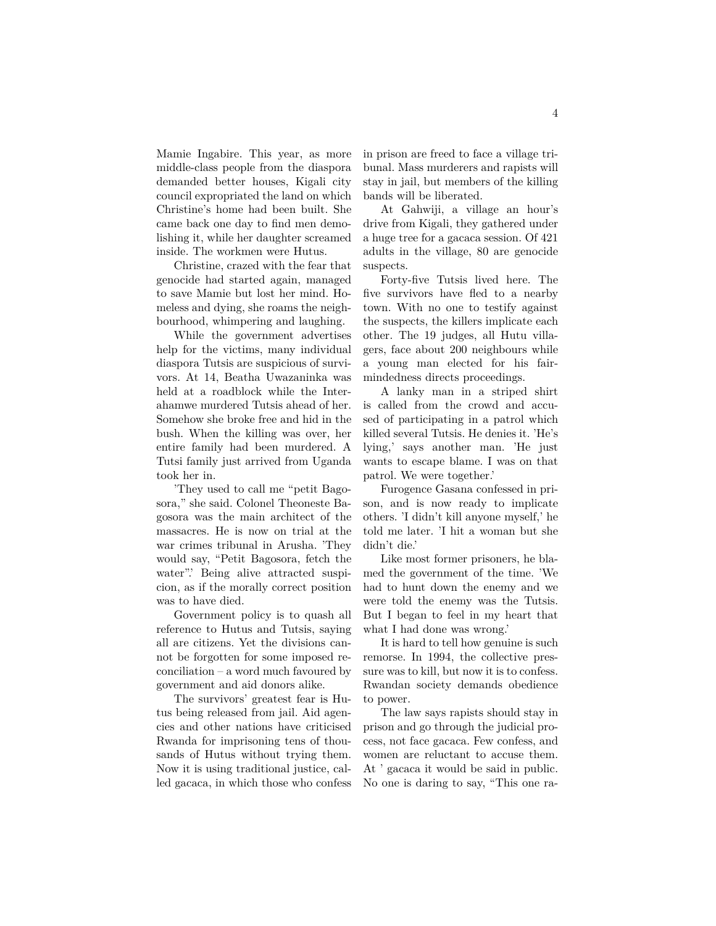Mamie Ingabire. This year, as more middle-class people from the diaspora demanded better houses, Kigali city council expropriated the land on which Christine's home had been built. She came back one day to find men demolishing it, while her daughter screamed inside. The workmen were Hutus.

Christine, crazed with the fear that genocide had started again, managed to save Mamie but lost her mind. Homeless and dying, she roams the neighbourhood, whimpering and laughing.

While the government advertises help for the victims, many individual diaspora Tutsis are suspicious of survivors. At 14, Beatha Uwazaninka was held at a roadblock while the Interahamwe murdered Tutsis ahead of her. Somehow she broke free and hid in the bush. When the killing was over, her entire family had been murdered. A Tutsi family just arrived from Uganda took her in.

'They used to call me "petit Bagosora," she said. Colonel Theoneste Bagosora was the main architect of the massacres. He is now on trial at the war crimes tribunal in Arusha. 'They would say, "Petit Bagosora, fetch the water". Being alive attracted suspicion, as if the morally correct position was to have died.

Government policy is to quash all reference to Hutus and Tutsis, saying all are citizens. Yet the divisions cannot be forgotten for some imposed reconciliation – a word much favoured by government and aid donors alike.

The survivors' greatest fear is Hutus being released from jail. Aid agencies and other nations have criticised Rwanda for imprisoning tens of thousands of Hutus without trying them. Now it is using traditional justice, called gacaca, in which those who confess in prison are freed to face a village tribunal. Mass murderers and rapists will stay in jail, but members of the killing bands will be liberated.

At Gahwiji, a village an hour's drive from Kigali, they gathered under a huge tree for a gacaca session. Of 421 adults in the village, 80 are genocide suspects.

Forty-five Tutsis lived here. The five survivors have fled to a nearby town. With no one to testify against the suspects, the killers implicate each other. The 19 judges, all Hutu villagers, face about 200 neighbours while a young man elected for his fairmindedness directs proceedings.

A lanky man in a striped shirt is called from the crowd and accused of participating in a patrol which killed several Tutsis. He denies it. 'He's lying,' says another man. 'He just wants to escape blame. I was on that patrol. We were together.'

Furogence Gasana confessed in prison, and is now ready to implicate others. 'I didn't kill anyone myself,' he told me later. 'I hit a woman but she didn't die.'

Like most former prisoners, he blamed the government of the time. 'We had to hunt down the enemy and we were told the enemy was the Tutsis. But I began to feel in my heart that what I had done was wrong.'

It is hard to tell how genuine is such remorse. In 1994, the collective pressure was to kill, but now it is to confess. Rwandan society demands obedience to power.

The law says rapists should stay in prison and go through the judicial process, not face gacaca. Few confess, and women are reluctant to accuse them. At ' gacaca it would be said in public. No one is daring to say, "This one ra